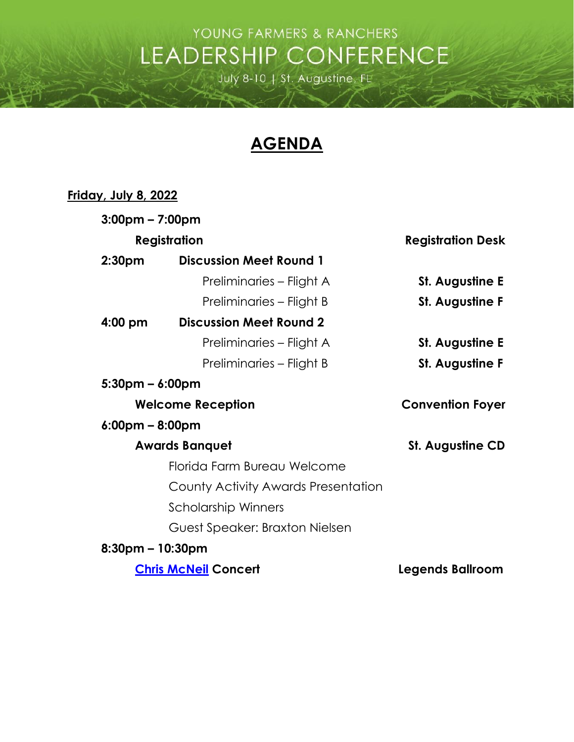## YOUNG FARMERS & RANCHERS LEADERSHIP CONFERENCE

July 8-10 | St. Augustine, FL

## **AGENDA**

## **Friday, July 8, 2022**

| $3:00 \text{pm} - 7:00 \text{pm}$ |                                     |                          |
|-----------------------------------|-------------------------------------|--------------------------|
| <b>Registration</b>               |                                     | <b>Registration Desk</b> |
| 2:30pm                            | <b>Discussion Meet Round 1</b>      |                          |
|                                   | Preliminaries – Flight A            | <b>St. Augustine E</b>   |
|                                   | Preliminaries – Flight B            | <b>St. Augustine F</b>   |
| $4:00 \text{ pm}$                 | <b>Discussion Meet Round 2</b>      |                          |
|                                   | Preliminaries – Flight A            | <b>St. Augustine E</b>   |
|                                   | Preliminaries – Flight B            | <b>St. Augustine F</b>   |
| $5:30$ pm – 6:00pm                |                                     |                          |
| <b>Welcome Reception</b>          |                                     | <b>Convention Foyer</b>  |
| $6:00 \text{pm} - 8:00 \text{pm}$ |                                     |                          |
| <b>Awards Banquet</b>             |                                     | <b>St. Augustine CD</b>  |
|                                   | Florida Farm Bureau Welcome         |                          |
|                                   | County Activity Awards Presentation |                          |
|                                   | Scholarship Winners                 |                          |
|                                   | Guest Speaker: Braxton Nielsen      |                          |
| $8:30$ pm – 10:30pm               |                                     |                          |
| <b>Chris McNeil Concert</b>       |                                     | <b>Legends Ballroom</b>  |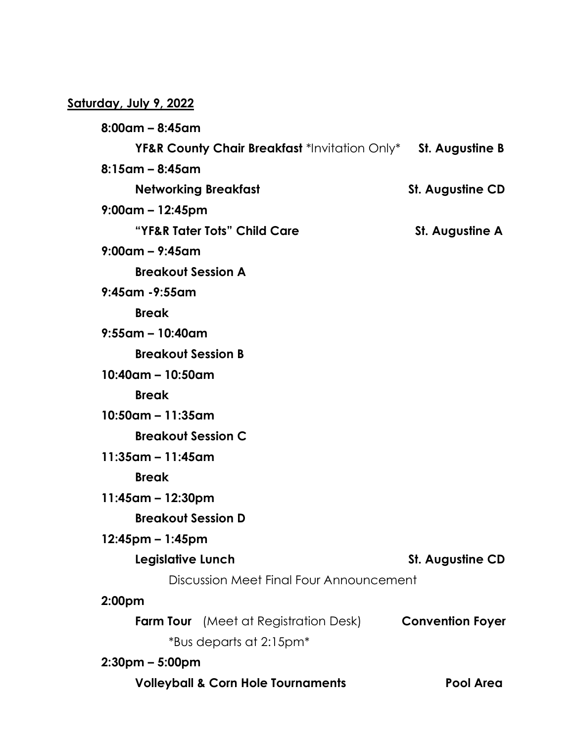## **Saturday, July 9, 2022**

**8:00am – 8:45am YF&R County Chair Breakfast** \*Invitation Only\* **St. Augustine B 8:15am – 8:45am Networking Breakfast St. Augustine CD 9:00am – 12:45pm** "YF&R Tater Tots" Child Care **St. Augustine A 9:00am – 9:45am Breakout Session A 9:45am -9:55am Break 9:55am – 10:40am Breakout Session B 10:40am – 10:50am Break 10:50am – 11:35am Breakout Session C 11:35am – 11:45am Break 11:45am – 12:30pm Breakout Session D 12:45pm – 1:45pm Legislative Lunch St. Augustine CD** Discussion Meet Final Four Announcement **2:00pm Farm Tour** (Meet at Registration Desk) **Convention Foyer** \*Bus departs at 2:15pm\* **2:30pm – 5:00pm Volleyball & Corn Hole Tournaments Pool Area**